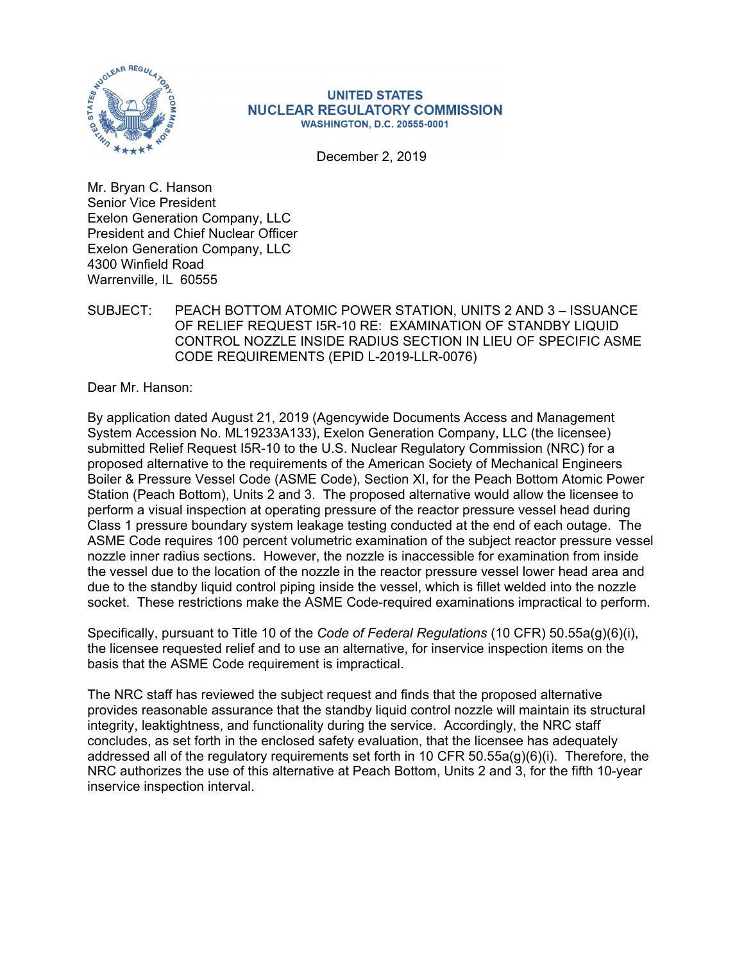

#### **UNITED STATES NUCLEAR REGULATORY COMMISSION WASHINGTON, D.C. 20555-0001**

December 2, 2019

Mr. Bryan C. Hanson Senior Vice President Exelon Generation Company, LLC President and Chief Nuclear Officer Exelon Generation Company, LLC 4300 Winfield Road Warrenville, IL 60555

SUBJECT: PEACH BOTTOM ATOMIC POWER STATION, UNITS 2 AND 3 – ISSUANCE OF RELIEF REQUEST I5R-10 RE: EXAMINATION OF STANDBY LIQUID CONTROL NOZZLE INSIDE RADIUS SECTION IN LIEU OF SPECIFIC ASME CODE REQUIREMENTS (EPID L-2019-LLR-0076)

Dear Mr. Hanson:

By application dated August 21, 2019 (Agencywide Documents Access and Management System Accession No. ML19233A133), Exelon Generation Company, LLC (the licensee) submitted Relief Request I5R-10 to the U.S. Nuclear Regulatory Commission (NRC) for a proposed alternative to the requirements of the American Society of Mechanical Engineers Boiler & Pressure Vessel Code (ASME Code), Section XI, for the Peach Bottom Atomic Power Station (Peach Bottom), Units 2 and 3. The proposed alternative would allow the licensee to perform a visual inspection at operating pressure of the reactor pressure vessel head during Class 1 pressure boundary system leakage testing conducted at the end of each outage. The ASME Code requires 100 percent volumetric examination of the subject reactor pressure vessel nozzle inner radius sections. However, the nozzle is inaccessible for examination from inside the vessel due to the location of the nozzle in the reactor pressure vessel lower head area and due to the standby liquid control piping inside the vessel, which is fillet welded into the nozzle socket. These restrictions make the ASME Code-required examinations impractical to perform.

Specifically, pursuant to Title 10 of the *Code of Federal Regulations* (10 CFR) 50.55a(g)(6)(i), the licensee requested relief and to use an alternative, for inservice inspection items on the basis that the ASME Code requirement is impractical.

The NRC staff has reviewed the subject request and finds that the proposed alternative provides reasonable assurance that the standby liquid control nozzle will maintain its structural integrity, leaktightness, and functionality during the service. Accordingly, the NRC staff concludes, as set forth in the enclosed safety evaluation, that the licensee has adequately addressed all of the regulatory requirements set forth in 10 CFR 50.55a(g)(6)(i). Therefore, the NRC authorizes the use of this alternative at Peach Bottom, Units 2 and 3, for the fifth 10-year inservice inspection interval.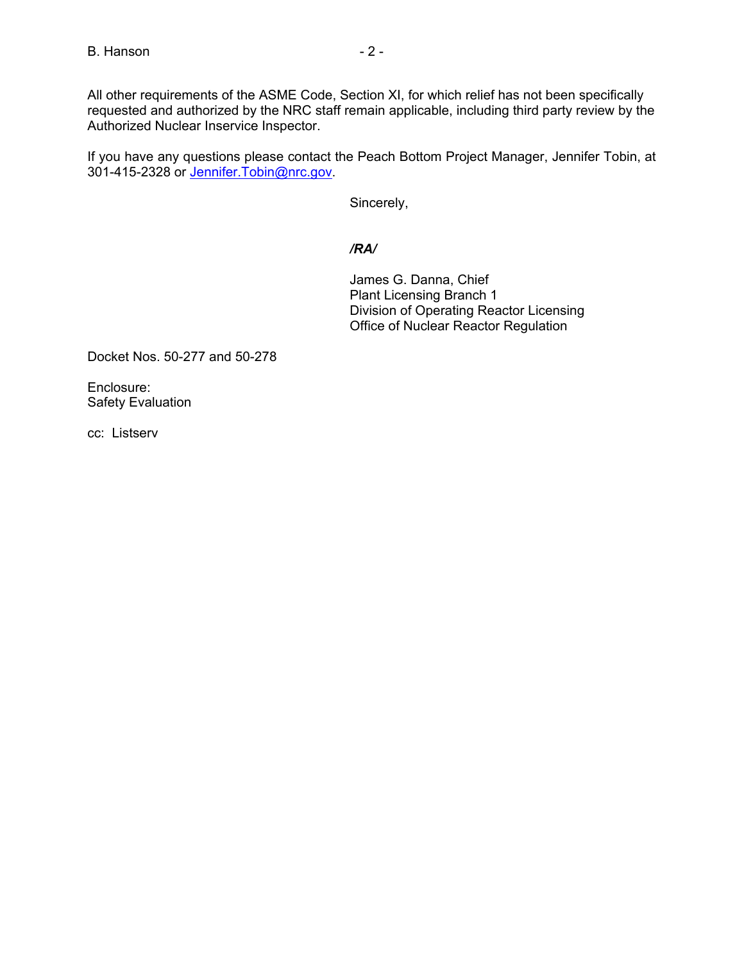All other requirements of the ASME Code, Section XI, for which relief has not been specifically requested and authorized by the NRC staff remain applicable, including third party review by the Authorized Nuclear Inservice Inspector.

If you have any questions please contact the Peach Bottom Project Manager, Jennifer Tobin, at 301-415-2328 or Jennifer.Tobin@nrc.gov.

Sincerely,

# */RA/*

James G. Danna, Chief Plant Licensing Branch 1 Division of Operating Reactor Licensing Office of Nuclear Reactor Regulation

Docket Nos. 50-277 and 50-278

Enclosure: Safety Evaluation

cc: Listserv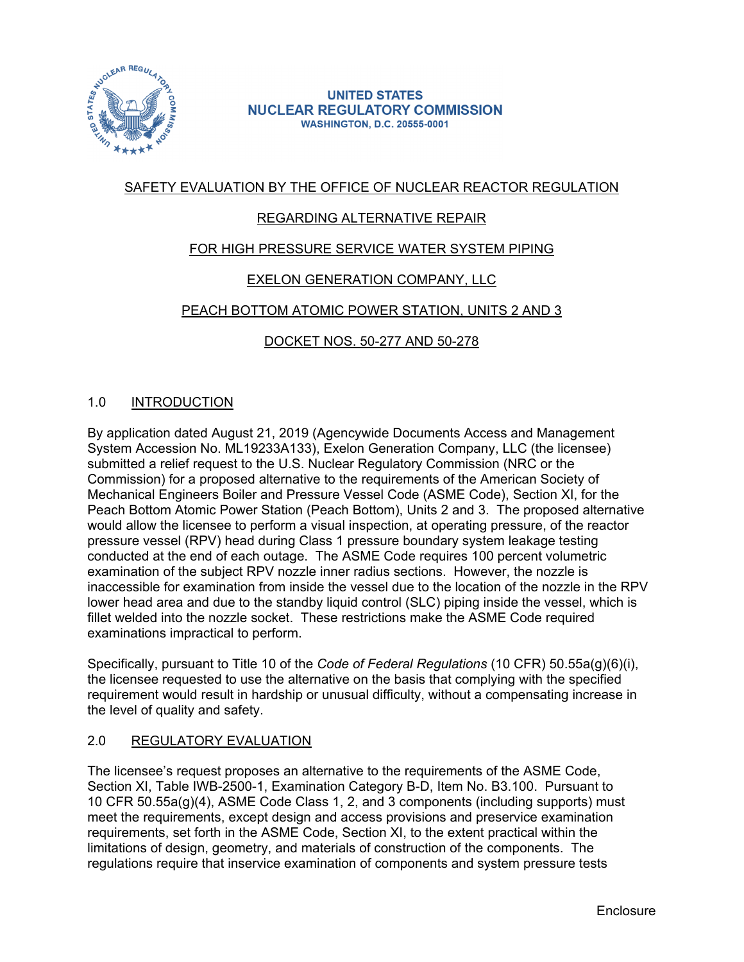

#### **UNITED STATES NUCLEAR REGULATORY COMMISSION WASHINGTON, D.C. 20555-0001**

# SAFETY EVALUATION BY THE OFFICE OF NUCLEAR REACTOR REGULATION

# REGARDING ALTERNATIVE REPAIR

# FOR HIGH PRESSURE SERVICE WATER SYSTEM PIPING

# EXELON GENERATION COMPANY, LLC

# PEACH BOTTOM ATOMIC POWER STATION, UNITS 2 AND 3

# DOCKET NOS. 50-277 AND 50-278

# 1.0 INTRODUCTION

By application dated August 21, 2019 (Agencywide Documents Access and Management System Accession No. ML19233A133), Exelon Generation Company, LLC (the licensee) submitted a relief request to the U.S. Nuclear Regulatory Commission (NRC or the Commission) for a proposed alternative to the requirements of the American Society of Mechanical Engineers Boiler and Pressure Vessel Code (ASME Code), Section XI, for the Peach Bottom Atomic Power Station (Peach Bottom), Units 2 and 3. The proposed alternative would allow the licensee to perform a visual inspection, at operating pressure, of the reactor pressure vessel (RPV) head during Class 1 pressure boundary system leakage testing conducted at the end of each outage. The ASME Code requires 100 percent volumetric examination of the subject RPV nozzle inner radius sections. However, the nozzle is inaccessible for examination from inside the vessel due to the location of the nozzle in the RPV lower head area and due to the standby liquid control (SLC) piping inside the vessel, which is fillet welded into the nozzle socket. These restrictions make the ASME Code required examinations impractical to perform.

Specifically, pursuant to Title 10 of the *Code of Federal Regulations* (10 CFR) 50.55a(g)(6)(i), the licensee requested to use the alternative on the basis that complying with the specified requirement would result in hardship or unusual difficulty, without a compensating increase in the level of quality and safety.

### 2.0 REGULATORY EVALUATION

The licensee's request proposes an alternative to the requirements of the ASME Code, Section XI, Table IWB-2500-1, Examination Category B-D, Item No. B3.100. Pursuant to 10 CFR 50.55a(g)(4), ASME Code Class 1, 2, and 3 components (including supports) must meet the requirements, except design and access provisions and preservice examination requirements, set forth in the ASME Code, Section XI, to the extent practical within the limitations of design, geometry, and materials of construction of the components. The regulations require that inservice examination of components and system pressure tests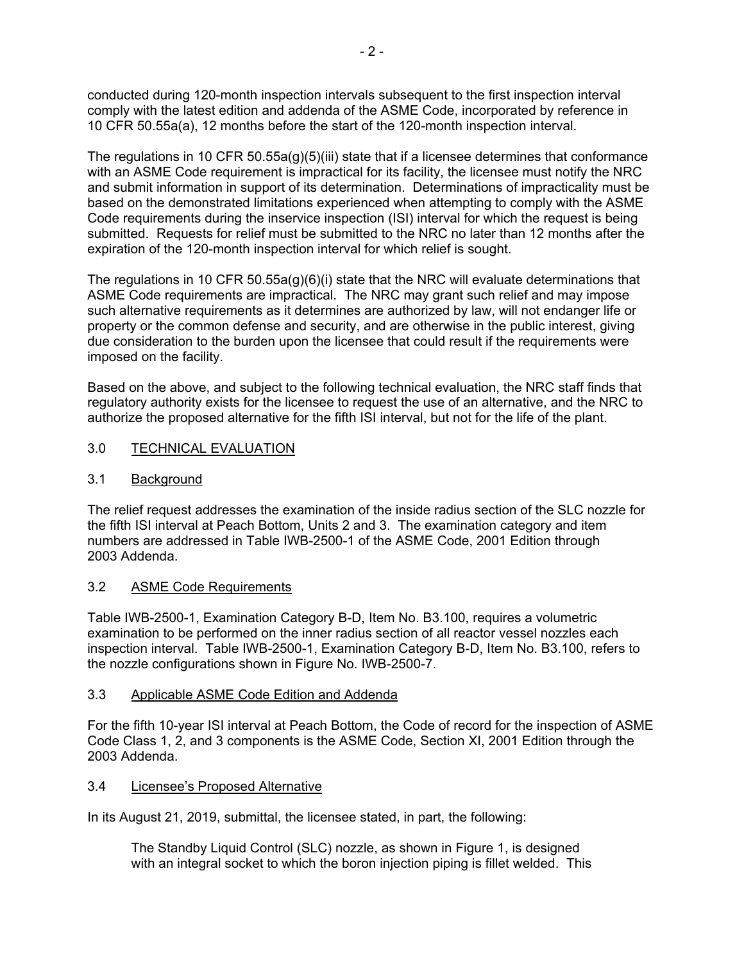conducted during 120-month inspection intervals subsequent to the first inspection interval comply with the latest edition and addenda of the ASME Code, incorporated by reference in 10 CFR 50.55a(a), 12 months before the start of the 120-month inspection interval.

The regulations in 10 CFR 50.55a(g)(5)(iii) state that if a licensee determines that conformance with an ASME Code requirement is impractical for its facility, the licensee must notify the NRC and submit information in support of its determination. Determinations of impracticality must be based on the demonstrated limitations experienced when attempting to comply with the ASME Code requirements during the inservice inspection (ISI) interval for which the request is being submitted. Requests for relief must be submitted to the NRC no later than 12 months after the expiration of the 120-month inspection interval for which relief is sought.

The regulations in 10 CFR 50.55a(g)(6)(i) state that the NRC will evaluate determinations that ASME Code requirements are impractical. The NRC may grant such relief and may impose such alternative requirements as it determines are authorized by law, will not endanger life or property or the common defense and security, and are otherwise in the public interest, giving due consideration to the burden upon the licensee that could result if the requirements were imposed on the facility.

Based on the above, and subject to the following technical evaluation, the NRC staff finds that regulatory authority exists for the licensee to request the use of an alternative, and the NRC to authorize the proposed alternative for the fifth ISI interval, but not for the life of the plant.

### 3.0 TECHNICAL EVALUATION

### 3.1 Background

The relief request addresses the examination of the inside radius section of the SLC nozzle for the fifth ISI interval at Peach Bottom, Units 2 and 3. The examination category and item numbers are addressed in Table IWB-2500-1 of the ASME Code, 2001 Edition through 2003 Addenda.

### 3.2 ASME Code Requirements

Table IWB-2500-1, Examination Category B-D, Item No. B3.100, requires a volumetric examination to be performed on the inner radius section of all reactor vessel nozzles each inspection interval. Table IWB-2500-1, Examination Category B-D, Item No. B3.100, refers to the nozzle configurations shown in Figure No. IWB-2500-7.

### 3.3 Applicable ASME Code Edition and Addenda

For the fifth 10-year ISI interval at Peach Bottom, the Code of record for the inspection of ASME Code Class 1, 2, and 3 components is the ASME Code, Section XI, 2001 Edition through the 2003 Addenda.

### 3.4 Licensee's Proposed Alternative

In its August 21, 2019, submittal, the licensee stated, in part, the following:

The Standby Liquid Control (SLC) nozzle, as shown in Figure 1, is designed with an integral socket to which the boron injection piping is fillet welded. This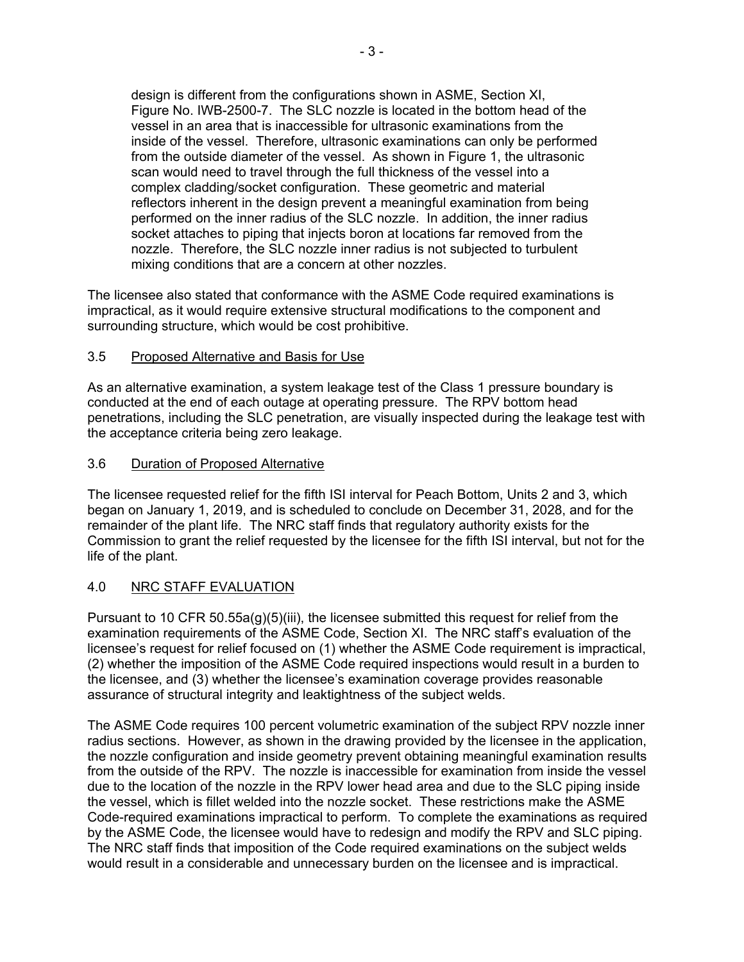design is different from the configurations shown in ASME, Section XI, Figure No. IWB-2500-7. The SLC nozzle is located in the bottom head of the vessel in an area that is inaccessible for ultrasonic examinations from the inside of the vessel. Therefore, ultrasonic examinations can only be performed from the outside diameter of the vessel. As shown in Figure 1, the ultrasonic scan would need to travel through the full thickness of the vessel into a complex cladding/socket configuration. These geometric and material reflectors inherent in the design prevent a meaningful examination from being performed on the inner radius of the SLC nozzle. In addition, the inner radius socket attaches to piping that injects boron at locations far removed from the nozzle. Therefore, the SLC nozzle inner radius is not subjected to turbulent mixing conditions that are a concern at other nozzles.

The licensee also stated that conformance with the ASME Code required examinations is impractical, as it would require extensive structural modifications to the component and surrounding structure, which would be cost prohibitive.

### 3.5 Proposed Alternative and Basis for Use

As an alternative examination, a system leakage test of the Class 1 pressure boundary is conducted at the end of each outage at operating pressure. The RPV bottom head penetrations, including the SLC penetration, are visually inspected during the leakage test with the acceptance criteria being zero leakage.

# 3.6 Duration of Proposed Alternative

The licensee requested relief for the fifth ISI interval for Peach Bottom, Units 2 and 3, which began on January 1, 2019, and is scheduled to conclude on December 31, 2028, and for the remainder of the plant life. The NRC staff finds that regulatory authority exists for the Commission to grant the relief requested by the licensee for the fifth ISI interval, but not for the life of the plant.

# 4.0 NRC STAFF EVALUATION

Pursuant to 10 CFR  $50.55a(g)(5)(iii)$ , the licensee submitted this request for relief from the examination requirements of the ASME Code, Section XI. The NRC staff's evaluation of the licensee's request for relief focused on (1) whether the ASME Code requirement is impractical, (2) whether the imposition of the ASME Code required inspections would result in a burden to the licensee, and (3) whether the licensee's examination coverage provides reasonable assurance of structural integrity and leaktightness of the subject welds.

The ASME Code requires 100 percent volumetric examination of the subject RPV nozzle inner radius sections. However, as shown in the drawing provided by the licensee in the application, the nozzle configuration and inside geometry prevent obtaining meaningful examination results from the outside of the RPV. The nozzle is inaccessible for examination from inside the vessel due to the location of the nozzle in the RPV lower head area and due to the SLC piping inside the vessel, which is fillet welded into the nozzle socket. These restrictions make the ASME Code-required examinations impractical to perform. To complete the examinations as required by the ASME Code, the licensee would have to redesign and modify the RPV and SLC piping. The NRC staff finds that imposition of the Code required examinations on the subject welds would result in a considerable and unnecessary burden on the licensee and is impractical.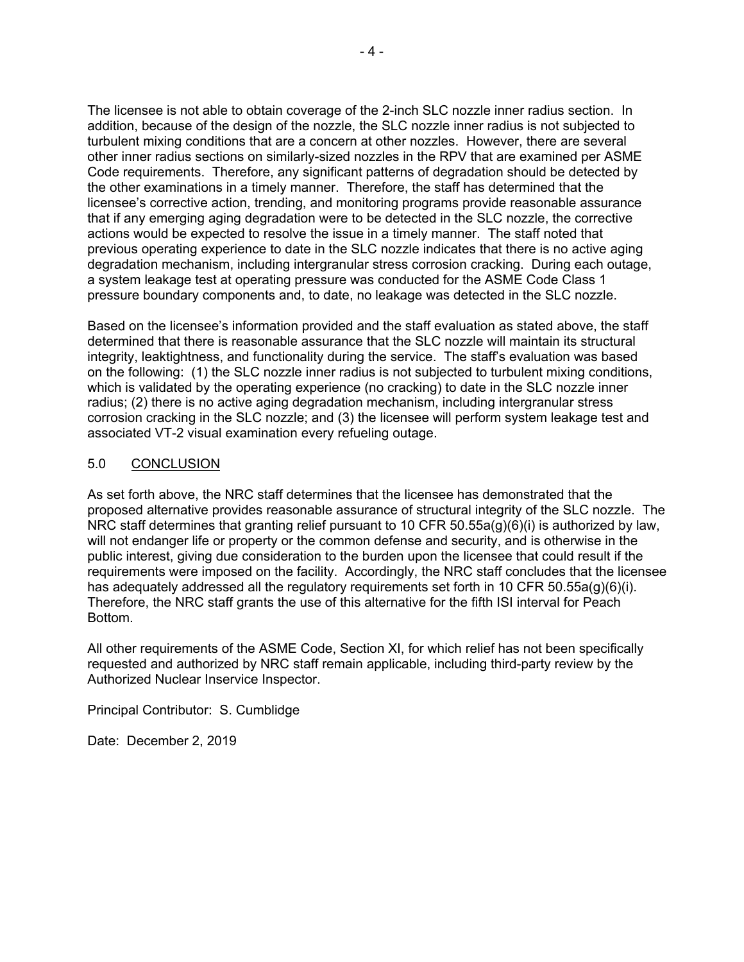The licensee is not able to obtain coverage of the 2-inch SLC nozzle inner radius section. In addition, because of the design of the nozzle, the SLC nozzle inner radius is not subjected to turbulent mixing conditions that are a concern at other nozzles. However, there are several other inner radius sections on similarly-sized nozzles in the RPV that are examined per ASME Code requirements. Therefore, any significant patterns of degradation should be detected by the other examinations in a timely manner. Therefore, the staff has determined that the licensee's corrective action, trending, and monitoring programs provide reasonable assurance that if any emerging aging degradation were to be detected in the SLC nozzle, the corrective actions would be expected to resolve the issue in a timely manner. The staff noted that previous operating experience to date in the SLC nozzle indicates that there is no active aging degradation mechanism, including intergranular stress corrosion cracking. During each outage, a system leakage test at operating pressure was conducted for the ASME Code Class 1 pressure boundary components and, to date, no leakage was detected in the SLC nozzle.

Based on the licensee's information provided and the staff evaluation as stated above, the staff determined that there is reasonable assurance that the SLC nozzle will maintain its structural integrity, leaktightness, and functionality during the service. The staff's evaluation was based on the following: (1) the SLC nozzle inner radius is not subjected to turbulent mixing conditions, which is validated by the operating experience (no cracking) to date in the SLC nozzle inner radius; (2) there is no active aging degradation mechanism, including intergranular stress corrosion cracking in the SLC nozzle; and (3) the licensee will perform system leakage test and associated VT-2 visual examination every refueling outage.

### 5.0 CONCLUSION

As set forth above, the NRC staff determines that the licensee has demonstrated that the proposed alternative provides reasonable assurance of structural integrity of the SLC nozzle. The NRC staff determines that granting relief pursuant to 10 CFR 50.55a(g)(6)(i) is authorized by law, will not endanger life or property or the common defense and security, and is otherwise in the public interest, giving due consideration to the burden upon the licensee that could result if the requirements were imposed on the facility. Accordingly, the NRC staff concludes that the licensee has adequately addressed all the regulatory requirements set forth in 10 CFR 50.55a(g)(6)(i). Therefore, the NRC staff grants the use of this alternative for the fifth ISI interval for Peach Bottom.

All other requirements of the ASME Code, Section XI, for which relief has not been specifically requested and authorized by NRC staff remain applicable, including third-party review by the Authorized Nuclear Inservice Inspector.

Principal Contributor: S. Cumblidge

Date: December 2, 2019